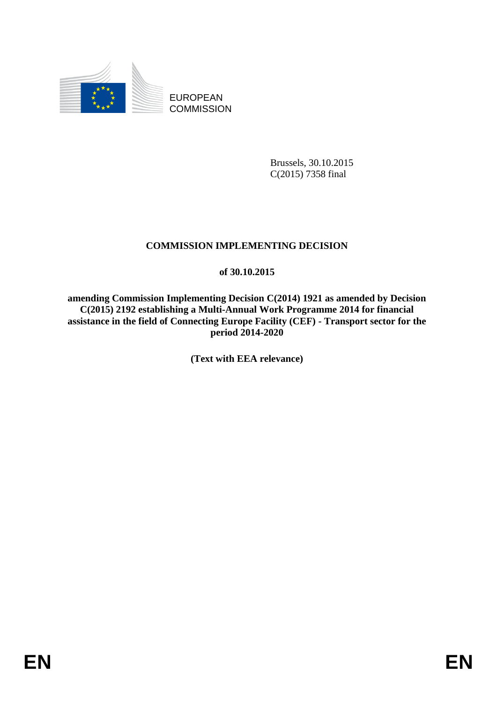

EUROPEAN **COMMISSION** 

> Brussels, 30.10.2015 C(2015) 7358 final

# **COMMISSION IMPLEMENTING DECISION**

## **of 30.10.2015**

**amending Commission Implementing Decision C(2014) 1921 as amended by Decision C(2015) 2192 establishing a Multi-Annual Work Programme 2014 for financial assistance in the field of Connecting Europe Facility (CEF) - Transport sector for the period 2014-2020**

**(Text with EEA relevance)**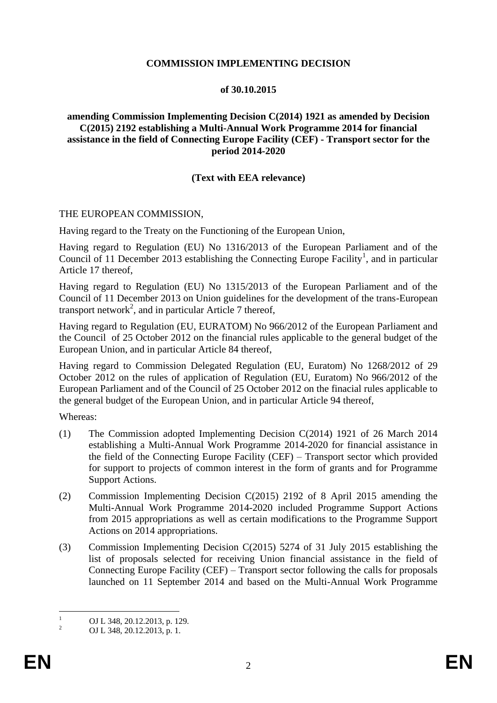### **COMMISSION IMPLEMENTING DECISION**

#### **of 30.10.2015**

### **amending Commission Implementing Decision C(2014) 1921 as amended by Decision C(2015) 2192 establishing a Multi-Annual Work Programme 2014 for financial assistance in the field of Connecting Europe Facility (CEF) - Transport sector for the period 2014-2020**

### **(Text with EEA relevance)**

### THE EUROPEAN COMMISSION,

Having regard to the Treaty on the Functioning of the European Union,

Having regard to Regulation (EU) No 1316/2013 of the European Parliament and of the Council of 11 December 2013 establishing the Connecting Europe Facility<sup>1</sup>, and in particular Article 17 thereof,

Having regard to Regulation (EU) No 1315/2013 of the European Parliament and of the Council of 11 December 2013 on Union guidelines for the development of the trans-European transport network<sup>2</sup>, and in particular Article 7 thereof,

Having regard to Regulation (EU, EURATOM) No 966/2012 of the European Parliament and the Council of 25 October 2012 on the financial rules applicable to the general budget of the European Union, and in particular Article 84 thereof,

Having regard to Commission Delegated Regulation (EU, Euratom) No 1268/2012 of 29 October 2012 on the rules of application of Regulation (EU, Euratom) No 966/2012 of the European Parliament and of the Council of 25 October 2012 on the finacial rules applicable to the general budget of the European Union, and in particular Article 94 thereof,

Whereas:

- (1) The Commission adopted Implementing Decision C(2014) 1921 of 26 March 2014 establishing a Multi-Annual Work Programme 2014-2020 for financial assistance in the field of the Connecting Europe Facility (CEF) – Transport sector which provided for support to projects of common interest in the form of grants and for Programme Support Actions.
- (2) Commission Implementing Decision C(2015) 2192 of 8 April 2015 amending the Multi-Annual Work Programme 2014-2020 included Programme Support Actions from 2015 appropriations as well as certain modifications to the Programme Support Actions on 2014 appropriations.
- (3) Commission Implementing Decision C(2015) 5274 of 31 July 2015 establishing the list of proposals selected for receiving Union financial assistance in the field of Connecting Europe Facility (CEF) – Transport sector following the calls for proposals launched on 11 September 2014 and based on the Multi-Annual Work Programme

 $\mathbf{1}$  $\frac{1}{2}$  OJ L 348, 20.12.2013, p. 129.

<sup>2</sup> OJ L 348, 20.12.2013, p. 1.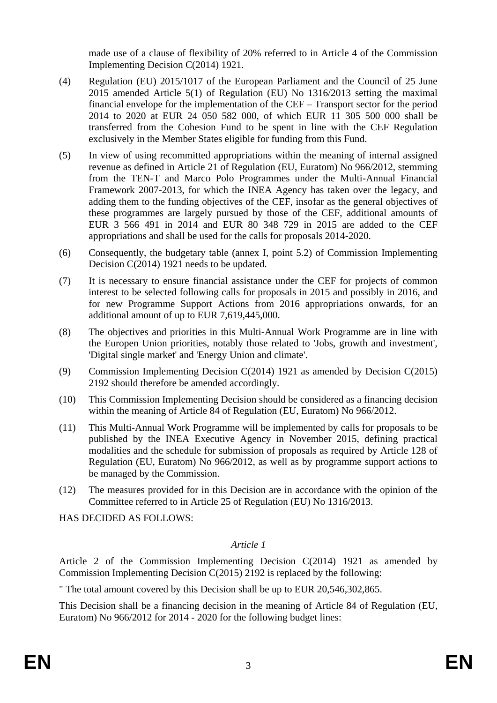made use of a clause of flexibility of 20% referred to in Article 4 of the Commission Implementing Decision C(2014) 1921.

- (4) Regulation (EU) 2015/1017 of the European Parliament and the Council of 25 June 2015 amended Article 5(1) of Regulation (EU) No 1316/2013 setting the maximal financial envelope for the implementation of the CEF – Transport sector for the period 2014 to 2020 at EUR 24 050 582 000, of which EUR 11 305 500 000 shall be transferred from the Cohesion Fund to be spent in line with the CEF Regulation exclusively in the Member States eligible for funding from this Fund.
- (5) In view of using recommitted appropriations within the meaning of internal assigned revenue as defined in Article 21 of Regulation (EU, Euratom) No 966/2012, stemming from the TEN-T and Marco Polo Programmes under the Multi-Annual Financial Framework 2007-2013, for which the INEA Agency has taken over the legacy, and adding them to the funding objectives of the CEF, insofar as the general objectives of these programmes are largely pursued by those of the CEF, additional amounts of EUR 3 566 491 in 2014 and EUR 80 348 729 in 2015 are added to the CEF appropriations and shall be used for the calls for proposals 2014-2020.
- (6) Consequently, the budgetary table (annex I, point 5.2) of Commission Implementing Decision C(2014) 1921 needs to be updated.
- (7) It is necessary to ensure financial assistance under the CEF for projects of common interest to be selected following calls for proposals in 2015 and possibly in 2016, and for new Programme Support Actions from 2016 appropriations onwards, for an additional amount of up to EUR 7,619,445,000.
- (8) The objectives and priorities in this Multi-Annual Work Programme are in line with the Europen Union priorities, notably those related to 'Jobs, growth and investment', 'Digital single market' and 'Energy Union and climate'.
- (9) Commission Implementing Decision C(2014) 1921 as amended by Decision C(2015) 2192 should therefore be amended accordingly.
- (10) This Commission Implementing Decision should be considered as a financing decision within the meaning of Article 84 of Regulation (EU, Euratom) No 966/2012.
- (11) This Multi-Annual Work Programme will be implemented by calls for proposals to be published by the INEA Executive Agency in November 2015, defining practical modalities and the schedule for submission of proposals as required by Article 128 of Regulation (EU, Euratom) No 966/2012, as well as by programme support actions to be managed by the Commission.
- (12) The measures provided for in this Decision are in accordance with the opinion of the Committee referred to in Article 25 of Regulation (EU) No 1316/2013.

HAS DECIDED AS FOLLOWS:

## *Article 1*

Article 2 of the Commission Implementing Decision C(2014) 1921 as amended by Commission Implementing Decision C(2015) 2192 is replaced by the following:

" The total amount covered by this Decision shall be up to EUR 20,546,302,865.

This Decision shall be a financing decision in the meaning of Article 84 of Regulation (EU, Euratom) No 966/2012 for 2014 - 2020 for the following budget lines: